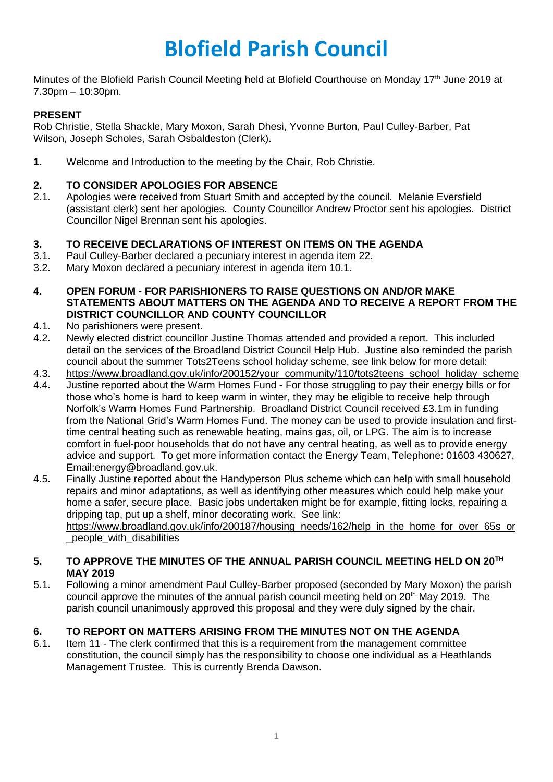# **Blofield Parish Council**

Minutes of the Blofield Parish Council Meeting held at Blofield Courthouse on Monday 17<sup>th</sup> June 2019 at 7.30pm – 10:30pm.

## **PRESENT**

Rob Christie, Stella Shackle, Mary Moxon, Sarah Dhesi, Yvonne Burton, Paul Culley-Barber, Pat Wilson, Joseph Scholes, Sarah Osbaldeston (Clerk).

**1.** Welcome and Introduction to the meeting by the Chair, Rob Christie.

## **2. TO CONSIDER APOLOGIES FOR ABSENCE**

2.1. Apologies were received from Stuart Smith and accepted by the council. Melanie Eversfield (assistant clerk) sent her apologies. County Councillor Andrew Proctor sent his apologies. District Councillor Nigel Brennan sent his apologies.

## **3. TO RECEIVE DECLARATIONS OF INTEREST ON ITEMS ON THE AGENDA**

- 3.1. Paul Culley-Barber declared a pecuniary interest in agenda item 22.
- 3.2. Mary Moxon declared a pecuniary interest in agenda item 10.1.
- **4. OPEN FORUM - FOR PARISHIONERS TO RAISE QUESTIONS ON AND/OR MAKE STATEMENTS ABOUT MATTERS ON THE AGENDA AND TO RECEIVE A REPORT FROM THE DISTRICT COUNCILLOR AND COUNTY COUNCILLOR**
- 4.1. No parishioners were present.
- 4.2. Newly elected district councillor Justine Thomas attended and provided a report. This included detail on the services of the Broadland District Council Help Hub. Justine also reminded the parish council about the summer Tots2Teens school holiday scheme, see link below for more detail:
- 4.3. [https://www.broadland.gov.uk/info/200152/your\\_community/110/tots2teens\\_school\\_holiday\\_scheme](https://www.broadland.gov.uk/info/200152/your_community/110/tots2teens_school_holiday_scheme)
- 4.4. Justine reported about the Warm Homes Fund For those struggling to pay their energy bills or for those who's home is hard to keep warm in winter, they may be eligible to receive help through Norfolk's Warm Homes Fund Partnership. [Broadland District Council received £](https://www.broadland.gov.uk/news/article/220/broadland_district_council_announces_ambitious_fuel_poverty_project_worth_over_3m)3.1m in funding from the National Grid's Warm Homes Fund. The money can be used to provide insulation and firsttime central heating such as renewable heating, mains gas, oil, or LPG. The aim is to increase comfort in fuel-poor households that do not have any central heating, as well as to provide energy advice and support. To get more information contact the Energy Team, Telephone: 01603 430627, Email:energy@broadland.gov.uk.
- 4.5. Finally Justine reported about the Handyperson Plus scheme which can help with small household repairs and minor adaptations, as well as identifying other measures which could help make your home a safer, secure place. Basic jobs undertaken might be for example, fitting locks, repairing a dripping tap, put up a shelf, minor decorating work. See link: [https://www.broadland.gov.uk/info/200187/housing\\_needs/162/help\\_in\\_the\\_home\\_for\\_over\\_65s\\_or](https://www.broadland.gov.uk/info/200187/housing_needs/162/help_in_the_home_for_over_65s_or_people_with_disabilities) people with disabilities

#### **5. TO APPROVE THE MINUTES OF THE ANNUAL PARISH COUNCIL MEETING HELD ON 20TH MAY 2019**

5.1. Following a minor amendment Paul Culley-Barber proposed (seconded by Mary Moxon) the parish council approve the minutes of the annual parish council meeting held on  $20<sup>th</sup>$  May 2019. The parish council unanimously approved this proposal and they were duly signed by the chair.

# **6. TO REPORT ON MATTERS ARISING FROM THE MINUTES NOT ON THE AGENDA**

6.1. Item 11 - The clerk confirmed that this is a requirement from the management committee constitution, the council simply has the responsibility to choose one individual as a Heathlands Management Trustee. This is currently Brenda Dawson.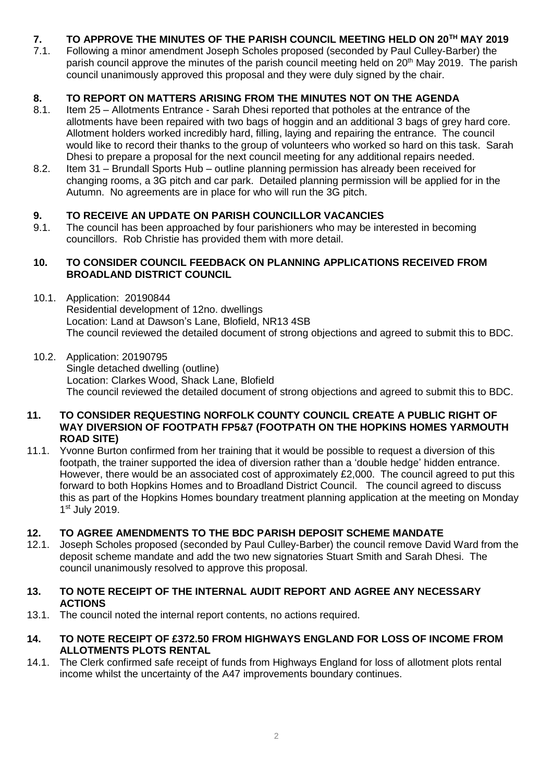# **7. TO APPROVE THE MINUTES OF THE PARISH COUNCIL MEETING HELD ON 20TH MAY 2019**

7.1. Following a minor amendment Joseph Scholes proposed (seconded by Paul Culley-Barber) the parish council approve the minutes of the parish council meeting held on 20<sup>th</sup> May 2019. The parish council unanimously approved this proposal and they were duly signed by the chair.

# **8. TO REPORT ON MATTERS ARISING FROM THE MINUTES NOT ON THE AGENDA**

- 8.1. Item 25 Allotments Entrance Sarah Dhesi reported that potholes at the entrance of the allotments have been repaired with two bags of hoggin and an additional 3 bags of grey hard core. Allotment holders worked incredibly hard, filling, laying and repairing the entrance. The council would like to record their thanks to the group of volunteers who worked so hard on this task. Sarah Dhesi to prepare a proposal for the next council meeting for any additional repairs needed.
- 8.2. Item 31 Brundall Sports Hub outline planning permission has already been received for changing rooms, a 3G pitch and car park. Detailed planning permission will be applied for in the Autumn. No agreements are in place for who will run the 3G pitch.

## **9. TO RECEIVE AN UPDATE ON PARISH COUNCILLOR VACANCIES**

9.1. The council has been approached by four parishioners who may be interested in becoming councillors. Rob Christie has provided them with more detail.

#### **10. TO CONSIDER COUNCIL FEEDBACK ON PLANNING APPLICATIONS RECEIVED FROM BROADLAND DISTRICT COUNCIL**

- 10.1. Application: 20190844 Residential development of 12no. dwellings Location: Land at Dawson's Lane, Blofield, NR13 4SB The council reviewed the detailed document of strong objections and agreed to submit this to BDC.
- 10.2. Application: 20190795 Single detached dwelling (outline) Location: Clarkes Wood, Shack Lane, Blofield The council reviewed the detailed document of strong objections and agreed to submit this to BDC.

#### **11. TO CONSIDER REQUESTING NORFOLK COUNTY COUNCIL CREATE A PUBLIC RIGHT OF WAY DIVERSION OF FOOTPATH FP5&7 (FOOTPATH ON THE HOPKINS HOMES YARMOUTH ROAD SITE)**

11.1. Yvonne Burton confirmed from her training that it would be possible to request a diversion of this footpath, the trainer supported the idea of diversion rather than a 'double hedge' hidden entrance. However, there would be an associated cost of approximately £2,000. The council agreed to put this forward to both Hopkins Homes and to Broadland District Council. The council agreed to discuss this as part of the Hopkins Homes boundary treatment planning application at the meeting on Monday 1st July 2019.

## **12. TO AGREE AMENDMENTS TO THE BDC PARISH DEPOSIT SCHEME MANDATE**

12.1. Joseph Scholes proposed (seconded by Paul Culley-Barber) the council remove David Ward from the deposit scheme mandate and add the two new signatories Stuart Smith and Sarah Dhesi. The council unanimously resolved to approve this proposal.

#### **13. TO NOTE RECEIPT OF THE INTERNAL AUDIT REPORT AND AGREE ANY NECESSARY ACTIONS**

- 13.1. The council noted the internal report contents, no actions required.
- **14. TO NOTE RECEIPT OF £372.50 FROM HIGHWAYS ENGLAND FOR LOSS OF INCOME FROM ALLOTMENTS PLOTS RENTAL**
- 14.1. The Clerk confirmed safe receipt of funds from Highways England for loss of allotment plots rental income whilst the uncertainty of the A47 improvements boundary continues.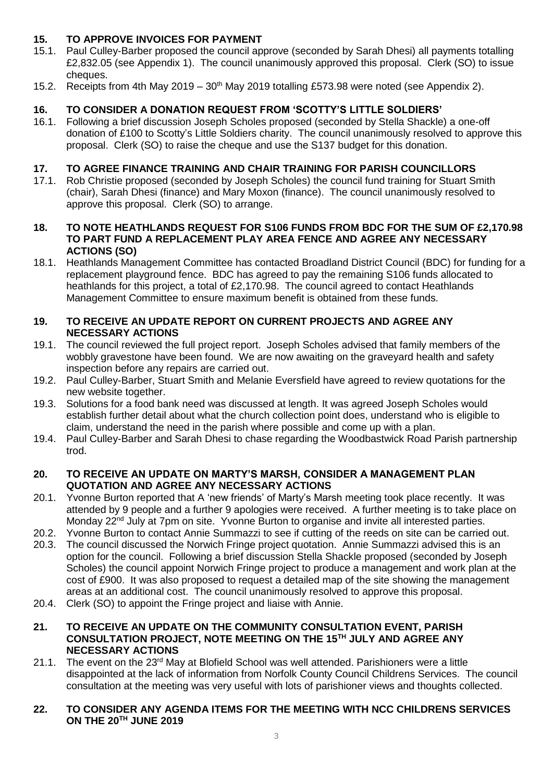# **15. TO APPROVE INVOICES FOR PAYMENT**

- 15.1. Paul Culley-Barber proposed the council approve (seconded by Sarah Dhesi) all payments totalling £2,832.05 (see Appendix 1). The council unanimously approved this proposal. Clerk (SO) to issue cheques.
- 15.2. Receipts from 4th May 2019  $30<sup>th</sup>$  May 2019 totalling £573.98 were noted (see Appendix 2).

# **16. TO CONSIDER A DONATION REQUEST FROM 'SCOTTY'S LITTLE SOLDIERS'**

16.1. Following a brief discussion Joseph Scholes proposed (seconded by Stella Shackle) a one-off donation of £100 to Scotty's Little Soldiers charity. The council unanimously resolved to approve this proposal. Clerk (SO) to raise the cheque and use the S137 budget for this donation.

## **17. TO AGREE FINANCE TRAINING AND CHAIR TRAINING FOR PARISH COUNCILLORS**

17.1. Rob Christie proposed (seconded by Joseph Scholes) the council fund training for Stuart Smith (chair), Sarah Dhesi (finance) and Mary Moxon (finance). The council unanimously resolved to approve this proposal. Clerk (SO) to arrange.

#### **18. TO NOTE HEATHLANDS REQUEST FOR S106 FUNDS FROM BDC FOR THE SUM OF £2,170.98 TO PART FUND A REPLACEMENT PLAY AREA FENCE AND AGREE ANY NECESSARY ACTIONS (SO)**

18.1. Heathlands Management Committee has contacted Broadland District Council (BDC) for funding for a replacement playground fence. BDC has agreed to pay the remaining S106 funds allocated to heathlands for this project, a total of £2,170.98. The council agreed to contact Heathlands Management Committee to ensure maximum benefit is obtained from these funds.

#### **19. TO RECEIVE AN UPDATE REPORT ON CURRENT PROJECTS AND AGREE ANY NECESSARY ACTIONS**

- 19.1. The council reviewed the full project report. Joseph Scholes advised that family members of the wobbly gravestone have been found. We are now awaiting on the graveyard health and safety inspection before any repairs are carried out.
- 19.2. Paul Culley-Barber, Stuart Smith and Melanie Eversfield have agreed to review quotations for the new website together.
- 19.3. Solutions for a food bank need was discussed at length. It was agreed Joseph Scholes would establish further detail about what the church collection point does, understand who is eligible to claim, understand the need in the parish where possible and come up with a plan.
- 19.4. Paul Culley-Barber and Sarah Dhesi to chase regarding the Woodbastwick Road Parish partnership trod.

#### **20. TO RECEIVE AN UPDATE ON MARTY'S MARSH, CONSIDER A MANAGEMENT PLAN QUOTATION AND AGREE ANY NECESSARY ACTIONS**

- 20.1. Yvonne Burton reported that A 'new friends' of Marty's Marsh meeting took place recently. It was attended by 9 people and a further 9 apologies were received. A further meeting is to take place on Monday 22<sup>nd</sup> July at 7pm on site. Yvonne Burton to organise and invite all interested parties.
- 20.2. Yvonne Burton to contact Annie Summazzi to see if cutting of the reeds on site can be carried out. 20.3. The council discussed the Norwich Fringe project quotation. Annie Summazzi advised this is an option for the council. Following a brief discussion Stella Shackle proposed (seconded by Joseph Scholes) the council appoint Norwich Fringe project to produce a management and work plan at the cost of £900. It was also proposed to request a detailed map of the site showing the management areas at an additional cost. The council unanimously resolved to approve this proposal.
- 20.4. Clerk (SO) to appoint the Fringe project and liaise with Annie.

## **21. TO RECEIVE AN UPDATE ON THE COMMUNITY CONSULTATION EVENT, PARISH CONSULTATION PROJECT, NOTE MEETING ON THE 15TH JULY AND AGREE ANY NECESSARY ACTIONS**

21.1. The event on the 23<sup>rd</sup> May at Blofield School was well attended. Parishioners were a little disappointed at the lack of information from Norfolk County Council Childrens Services. The council consultation at the meeting was very useful with lots of parishioner views and thoughts collected.

#### **22. TO CONSIDER ANY AGENDA ITEMS FOR THE MEETING WITH NCC CHILDRENS SERVICES ON THE 20TH JUNE 2019**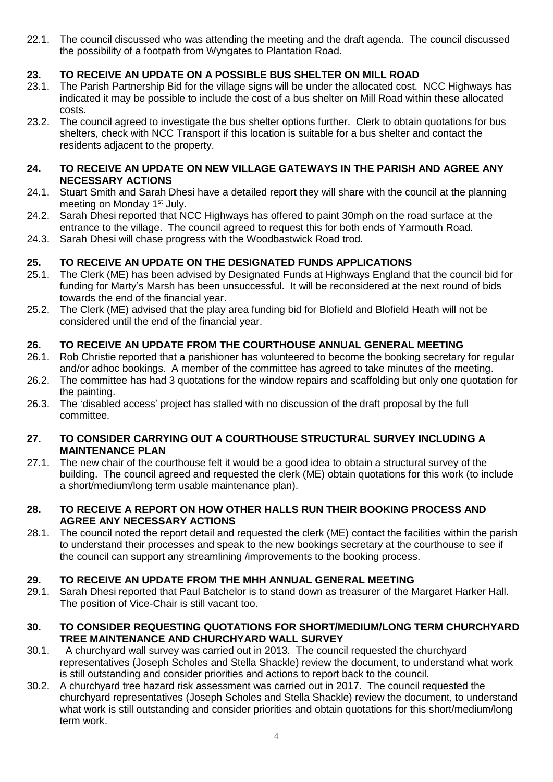22.1. The council discussed who was attending the meeting and the draft agenda. The council discussed the possibility of a footpath from Wyngates to Plantation Road.

# **23. TO RECEIVE AN UPDATE ON A POSSIBLE BUS SHELTER ON MILL ROAD**

- 23.1. The Parish Partnership Bid for the village signs will be under the allocated cost. NCC Highways has indicated it may be possible to include the cost of a bus shelter on Mill Road within these allocated costs.
- 23.2. The council agreed to investigate the bus shelter options further. Clerk to obtain quotations for bus shelters, check with NCC Transport if this location is suitable for a bus shelter and contact the residents adjacent to the property.

#### **24. TO RECEIVE AN UPDATE ON NEW VILLAGE GATEWAYS IN THE PARISH AND AGREE ANY NECESSARY ACTIONS**

- 24.1. Stuart Smith and Sarah Dhesi have a detailed report they will share with the council at the planning meeting on Monday 1<sup>st</sup> July.
- 24.2. Sarah Dhesi reported that NCC Highways has offered to paint 30mph on the road surface at the entrance to the village. The council agreed to request this for both ends of Yarmouth Road.
- 24.3. Sarah Dhesi will chase progress with the Woodbastwick Road trod.

## **25. TO RECEIVE AN UPDATE ON THE DESIGNATED FUNDS APPLICATIONS**

- 25.1. The Clerk (ME) has been advised by Designated Funds at Highways England that the council bid for funding for Marty's Marsh has been unsuccessful. It will be reconsidered at the next round of bids towards the end of the financial year.
- 25.2. The Clerk (ME) advised that the play area funding bid for Blofield and Blofield Heath will not be considered until the end of the financial year.

#### **26. TO RECEIVE AN UPDATE FROM THE COURTHOUSE ANNUAL GENERAL MEETING**

- 26.1. Rob Christie reported that a parishioner has volunteered to become the booking secretary for regular and/or adhoc bookings. A member of the committee has agreed to take minutes of the meeting.
- 26.2. The committee has had 3 quotations for the window repairs and scaffolding but only one quotation for the painting.
- 26.3. The 'disabled access' project has stalled with no discussion of the draft proposal by the full committee.

#### **27. TO CONSIDER CARRYING OUT A COURTHOUSE STRUCTURAL SURVEY INCLUDING A MAINTENANCE PLAN**

27.1. The new chair of the courthouse felt it would be a good idea to obtain a structural survey of the building. The council agreed and requested the clerk (ME) obtain quotations for this work (to include a short/medium/long term usable maintenance plan).

#### **28. TO RECEIVE A REPORT ON HOW OTHER HALLS RUN THEIR BOOKING PROCESS AND AGREE ANY NECESSARY ACTIONS**

28.1. The council noted the report detail and requested the clerk (ME) contact the facilities within the parish to understand their processes and speak to the new bookings secretary at the courthouse to see if the council can support any streamlining /improvements to the booking process.

#### **29. TO RECEIVE AN UPDATE FROM THE MHH ANNUAL GENERAL MEETING**

29.1. Sarah Dhesi reported that Paul Batchelor is to stand down as treasurer of the Margaret Harker Hall. The position of Vice-Chair is still vacant too.

#### **30. TO CONSIDER REQUESTING QUOTATIONS FOR SHORT/MEDIUM/LONG TERM CHURCHYARD TREE MAINTENANCE AND CHURCHYARD WALL SURVEY**

- 30.1. A churchyard wall survey was carried out in 2013. The council requested the churchyard representatives (Joseph Scholes and Stella Shackle) review the document, to understand what work is still outstanding and consider priorities and actions to report back to the council.
- 30.2. A churchyard tree hazard risk assessment was carried out in 2017. The council requested the churchyard representatives (Joseph Scholes and Stella Shackle) review the document, to understand what work is still outstanding and consider priorities and obtain quotations for this short/medium/long term work.